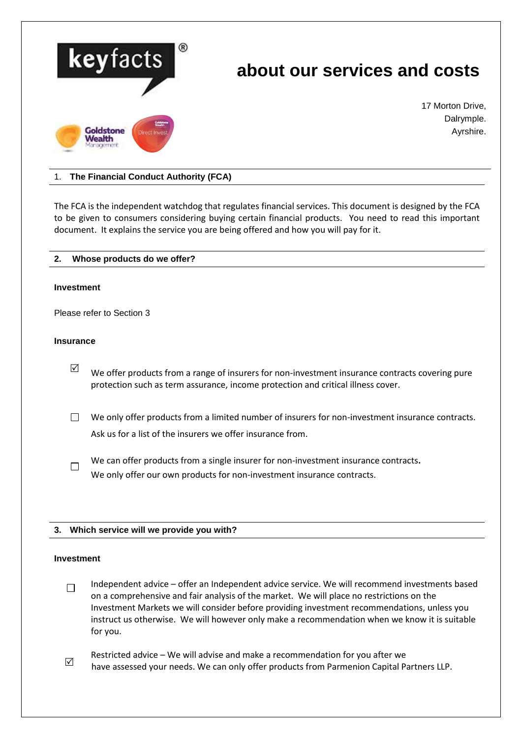

# 1. **The Financial Conduct Authority (FCA)**

The FCA is the independent watchdog that regulates financial services. This document is designed by the FCA to be given to consumers considering buying certain financial products. You need to read this important document. It explains the service you are being offered and how you will pay for it.

| Whose products do we offer?<br>2. |
|-----------------------------------|
|-----------------------------------|

#### **Investment**

Please refer to Section 3

# **Insurance**

- $\boxtimes$  We offer products from a range of insurers for non-investment insurance contracts covering pure protection such as term assurance, income protection and critical illness cover.
- $\Box$  We only offer products from a limited number of insurers for non-investment insurance contracts. Ask us for a list of the insurers we offer insurance from.
- We can offer products from a single insurer for non-investment insurance contracts**.**  $\Box$ We only offer our own products for non-investment insurance contracts.

## **3. Which service will we provide you with?**

#### **Investment**

- Independent advice offer an Independent advice service. We will recommend investments based  $\Box$ on a comprehensive and fair analysis of the market. We will place no restrictions on the Investment Markets we will consider before providing investment recommendations, unless you instruct us otherwise. We will however only make a recommendation when we know it is suitable for you.
- Restricted advice We will advise and make a recommendation for you after we<br>  $\Box$ have assessed your needs. We can only offer products from Parmenion Capital Partners LLP.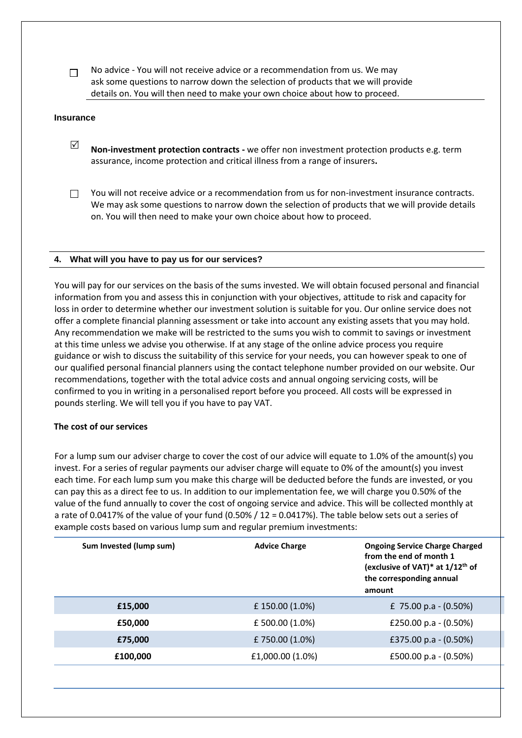No advice - You will not receive advice or a recommendation from us. We may  $\Box$ ask some questions to narrow down the selection of products that we will provide details on. You will then need to make your own choice about how to proceed.

#### **Insurance**

- **Non-investment protection contracts** we offer non investment protection products e.g. term assurance, income protection and critical illness from a range of insurers**.**
- You will not receive advice or a recommendation from us for non-investment insurance contracts. П. We may ask some questions to narrow down the selection of products that we will provide details on. You will then need to make your own choice about how to proceed.

## **4. What will you have to pay us for our services?**

You will pay for our services on the basis of the sums invested. We will obtain focused personal and financial information from you and assess this in conjunction with your objectives, attitude to risk and capacity for loss in order to determine whether our investment solution is suitable for you. Our online service does not offer a complete financial planning assessment or take into account any existing assets that you may hold. Any recommendation we make will be restricted to the sums you wish to commit to savings or investment at this time unless we advise you otherwise. If at any stage of the online advice process you require guidance or wish to discuss the suitability of this service for your needs, you can however speak to one of our qualified personal financial planners using the contact telephone number provided on our website. Our recommendations, together with the total advice costs and annual ongoing servicing costs, will be confirmed to you in writing in a personalised report before you proceed. All costs will be expressed in pounds sterling. We will tell you if you have to pay VAT.

## **The cost of our services**

For a lump sum our adviser charge to cover the cost of our advice will equate to 1.0% of the amount(s) you invest. For a series of regular payments our adviser charge will equate to 0% of the amount(s) you invest each time. For each lump sum you make this charge will be deducted before the funds are invested, or you can pay this as a direct fee to us. In addition to our implementation fee, we will charge you 0.50% of the value of the fund annually to cover the cost of ongoing service and advice. This will be collected monthly at a rate of 0.0417% of the value of your fund (0.50% / 12 = 0.0417%). The table below sets out a series of example costs based on various lump sum and regular premium investments:

| Sum Invested (lump sum) | <b>Advice Charge</b> | <b>Ongoing Service Charge Charged</b><br>from the end of month 1<br>(exclusive of VAT)* at 1/12 <sup>th</sup> of<br>the corresponding annual<br>amount |
|-------------------------|----------------------|--------------------------------------------------------------------------------------------------------------------------------------------------------|
| £15,000                 | £150.00 (1.0%)       | £ 75.00 p.a $-$ (0.50%)                                                                                                                                |
| £50,000                 | £ 500.00 (1.0%)      | £250.00 p.a $-$ (0.50%)                                                                                                                                |
| £75,000                 | £750.00 (1.0%)       | £375.00 p.a $-$ (0.50%)                                                                                                                                |
| £100,000                | £1,000.00 (1.0%)     | £500.00 p.a $-$ (0.50%)                                                                                                                                |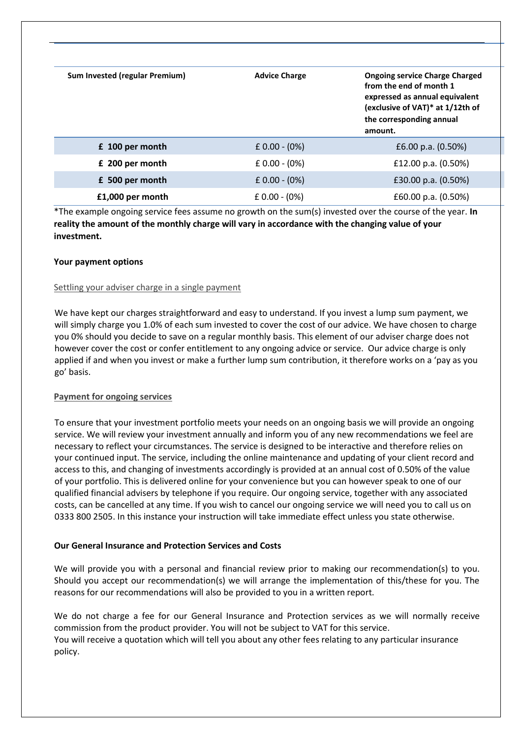| Sum Invested (regular Premium) | <b>Advice Charge</b> | <b>Ongoing service Charge Charged</b><br>from the end of month 1<br>expressed as annual equivalent<br>(exclusive of VAT)* at 1/12th of<br>the corresponding annual<br>amount. |
|--------------------------------|----------------------|-------------------------------------------------------------------------------------------------------------------------------------------------------------------------------|
| £ 100 per month                | $£ 0.00 - (0%)$      | £6.00 p.a. $(0.50\%)$                                                                                                                                                         |
| £ 200 per month                | $£ 0.00 - (0%)$      | £12.00 p.a. $(0.50\%)$                                                                                                                                                        |
| £ 500 per month                | $E$ 0.00 - (0%)      | £30.00 p.a. $(0.50\%)$                                                                                                                                                        |
| £1,000 per month               | $E$ 0.00 - (0%)      | £60.00 p.a. (0.50%)                                                                                                                                                           |

\*The example ongoing service fees assume no growth on the sum(s) invested over the course of the year. **In reality the amount of the monthly charge will vary in accordance with the changing value of your investment.**

# **Your payment options**

## Settling your adviser charge in a single payment

We have kept our charges straightforward and easy to understand. If you invest a lump sum payment, we will simply charge you 1.0% of each sum invested to cover the cost of our advice. We have chosen to charge you 0% should you decide to save on a regular monthly basis. This element of our adviser charge does not however cover the cost or confer entitlement to any ongoing advice or service. Our advice charge is only applied if and when you invest or make a further lump sum contribution, it therefore works on a 'pay as you go' basis.

## **Payment for ongoing services**

To ensure that your investment portfolio meets your needs on an ongoing basis we will provide an ongoing service. We will review your investment annually and inform you of any new recommendations we feel are necessary to reflect your circumstances. The service is designed to be interactive and therefore relies on your continued input. The service, including the online maintenance and updating of your client record and access to this, and changing of investments accordingly is provided at an annual cost of 0.50% of the value of your portfolio. This is delivered online for your convenience but you can however speak to one of our qualified financial advisers by telephone if you require. Our ongoing service, together with any associated costs, can be cancelled at any time. If you wish to cancel our ongoing service we will need you to call us on 0333 800 2505. In this instance your instruction will take immediate effect unless you state otherwise.

## **Our General Insurance and Protection Services and Costs**

We will provide you with a personal and financial review prior to making our recommendation(s) to you. Should you accept our recommendation(s) we will arrange the implementation of this/these for you. The reasons for our recommendations will also be provided to you in a written report.

We do not charge a fee for our General Insurance and Protection services as we will normally receive commission from the product provider. You will not be subject to VAT for this service. You will receive a quotation which will tell you about any other fees relating to any particular insurance policy.